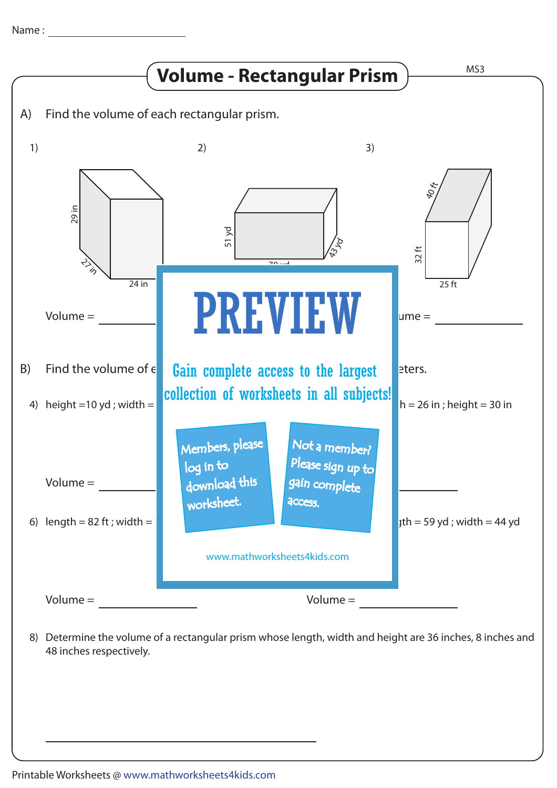

48 inches respectively.